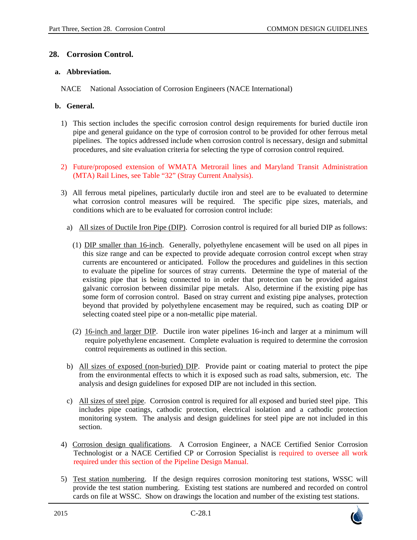### **28. Corrosion Control.**

#### **a. Abbreviation.**

NACE National Association of Corrosion Engineers (NACE International)

#### **b. General.**

- 1) This section includes the specific corrosion control design requirements for buried ductile iron pipe and general guidance on the type of corrosion control to be provided for other ferrous metal pipelines. The topics addressed include when corrosion control is necessary, design and submittal procedures, and site evaluation criteria for selecting the type of corrosion control required.
- 2) Future/proposed extension of WMATA Metrorail lines and Maryland Transit Administration (MTA) Rail Lines, see Table "32" (Stray Current Analysis).
- 3) All ferrous metal pipelines, particularly ductile iron and steel are to be evaluated to determine what corrosion control measures will be required. The specific pipe sizes, materials, and conditions which are to be evaluated for corrosion control include:
	- a) All sizes of Ductile Iron Pipe (DIP). Corrosion control is required for all buried DIP as follows:
		- (1) DIP smaller than 16-inch. Generally, polyethylene encasement will be used on all pipes in this size range and can be expected to provide adequate corrosion control except when stray currents are encountered or anticipated. Follow the procedures and guidelines in this section to evaluate the pipeline for sources of stray currents. Determine the type of material of the existing pipe that is being connected to in order that protection can be provided against galvanic corrosion between dissimilar pipe metals. Also, determine if the existing pipe has some form of corrosion control. Based on stray current and existing pipe analyses, protection beyond that provided by polyethylene encasement may be required, such as coating DIP or selecting coated steel pipe or a non-metallic pipe material.
		- (2) 16-inch and larger DIP. Ductile iron water pipelines 16-inch and larger at a minimum will require polyethylene encasement. Complete evaluation is required to determine the corrosion control requirements as outlined in this section.
	- b) All sizes of exposed (non-buried) DIP. Provide paint or coating material to protect the pipe from the environmental effects to which it is exposed such as road salts, submersion, etc. The analysis and design guidelines for exposed DIP are not included in this section.
	- c) All sizes of steel pipe. Corrosion control is required for all exposed and buried steel pipe. This includes pipe coatings, cathodic protection, electrical isolation and a cathodic protection monitoring system. The analysis and design guidelines for steel pipe are not included in this section.
- 4) Corrosion design qualifications. A Corrosion Engineer, a NACE Certified Senior Corrosion Technologist or a NACE Certified CP or Corrosion Specialist is required to oversee all work required under this section of the Pipeline Design Manual.
- 5) Test station numbering. If the design requires corrosion monitoring test stations, WSSC will provide the test station numbering. Existing test stations are numbered and recorded on control cards on file at WSSC. Show on drawings the location and number of the existing test stations.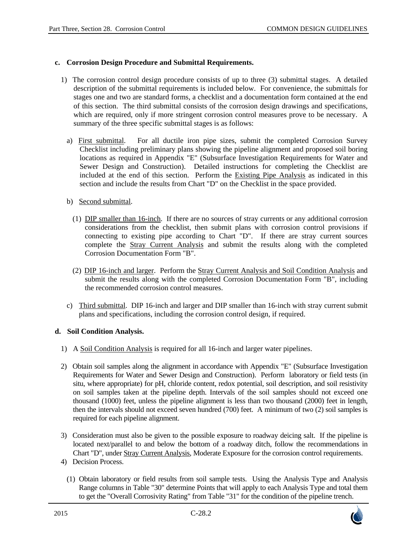#### **c. Corrosion Design Procedure and Submittal Requirements.**

- 1) The corrosion control design procedure consists of up to three (3) submittal stages. A detailed description of the submittal requirements is included below. For convenience, the submittals for stages one and two are standard forms, a checklist and a documentation form contained at the end of this section. The third submittal consists of the corrosion design drawings and specifications, which are required, only if more stringent corrosion control measures prove to be necessary. A summary of the three specific submittal stages is as follows:
	- a) First submittal. For all ductile iron pipe sizes, submit the completed Corrosion Survey Checklist including preliminary plans showing the pipeline alignment and proposed soil boring locations as required in Appendix "E" (Subsurface Investigation Requirements for Water and Sewer Design and Construction). Detailed instructions for completing the Checklist are included at the end of this section. Perform the Existing Pipe Analysis as indicated in this section and include the results from Chart "D" on the Checklist in the space provided.
	- b) Second submittal.
		- (1) DIP smaller than 16-inch. If there are no sources of stray currents or any additional corrosion considerations from the checklist, then submit plans with corrosion control provisions if connecting to existing pipe according to Chart "D". If there are stray current sources complete the Stray Current Analysis and submit the results along with the completed Corrosion Documentation Form "B".
		- (2) DIP 16-inch and larger. Perform the Stray Current Analysis and Soil Condition Analysis and submit the results along with the completed Corrosion Documentation Form "B", including the recommended corrosion control measures.
	- c) Third submittal. DIP 16-inch and larger and DIP smaller than 16-inch with stray current submit plans and specifications, including the corrosion control design, if required.

#### **d. Soil Condition Analysis.**

- 1) A Soil Condition Analysis is required for all 16-inch and larger water pipelines.
- 2) Obtain soil samples along the alignment in accordance with Appendix "E" (Subsurface Investigation Requirements for Water and Sewer Design and Construction). Perform laboratory or field tests (in situ, where appropriate) for pH, chloride content, redox potential, soil description, and soil resistivity on soil samples taken at the pipeline depth. Intervals of the soil samples should not exceed one thousand (1000) feet, unless the pipeline alignment is less than two thousand (2000) feet in length, then the intervals should not exceed seven hundred (700) feet. A minimum of two (2) soil samples is required for each pipeline alignment.
- 3) Consideration must also be given to the possible exposure to roadway deicing salt. If the pipeline is located next/parallel to and below the bottom of a roadway ditch, follow the recommendations in Chart "D", under Stray Current Analysis, Moderate Exposure for the corrosion control requirements.
- 4) Decision Process.
	- (1) Obtain laboratory or field results from soil sample tests. Using the Analysis Type and Analysis Range columns in Table "30" determine Points that will apply to each Analysis Type and total them to get the "Overall Corrosivity Rating" from Table "31" for the condition of the pipeline trench.

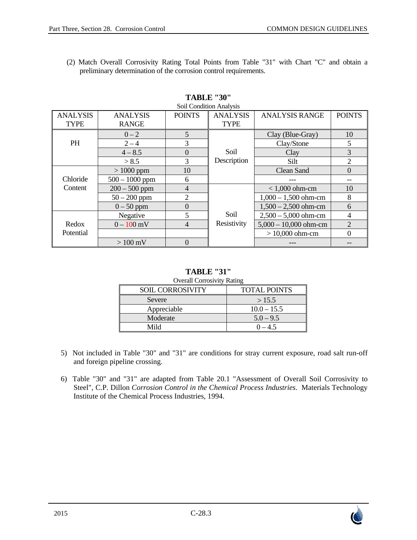(2) Match Overall Corrosivity Rating Total Points from Table "31" with Chart "C" and obtain a preliminary determination of the corrosion control requirements.

| SOIL CONDITION ANALYSIS |                  |                |                 |                         |                |
|-------------------------|------------------|----------------|-----------------|-------------------------|----------------|
| <b>ANALYSIS</b>         | <b>ANALYSIS</b>  | <b>POINTS</b>  | <b>ANALYSIS</b> | <b>ANALYSIS RANGE</b>   | <b>POINTS</b>  |
| <b>TYPE</b>             | <b>RANGE</b>     |                | <b>TYPE</b>     |                         |                |
|                         | $0 - 2$          | 5              |                 | Clay (Blue-Gray)        | 10             |
| <b>PH</b>               | $2 - 4$          | 3              |                 | Clay/Stone              | 5              |
|                         | $4 - 8.5$        | $\Omega$       | Soil            | Clay                    | 3              |
|                         | > 8.5            | 3              | Description     | Silt.                   | $\overline{2}$ |
|                         | $>1000$ ppm      | 10             |                 | <b>Clean Sand</b>       | $\overline{0}$ |
| Chloride                | $500 - 1000$ ppm | 6              |                 |                         |                |
| Content                 | $200 - 500$ ppm  | $\overline{4}$ |                 | $< 1,000$ ohm-cm        | 10             |
|                         | $50 - 200$ ppm   | 2              |                 | $1,000 - 1,500$ ohm-cm  | 8              |
|                         | $0 - 50$ ppm     | $\overline{0}$ |                 | $1,500 - 2,500$ ohm-cm  | 6              |
|                         | Negative         | 5              | Soil            | $2,500 - 5,000$ ohm-cm  | $\overline{4}$ |
| Redox                   | $0 - 100$ mV     | $\overline{4}$ | Resistivity     | $5,000 - 10,000$ ohm-cm | $\overline{2}$ |
| Potential               |                  |                |                 | $> 10,000$ ohm-cm       | $\overline{0}$ |
|                         | $>100$ mV        | $\Omega$       |                 |                         |                |

#### **TABLE "30"**  Soil Condition Analysis

# **TABLE "31"**

| <b>Overall Corrosivity Rating</b> |                     |  |  |
|-----------------------------------|---------------------|--|--|
| SOIL CORROSIVITY                  | <b>TOTAL POINTS</b> |  |  |
| Severe                            | >15.5               |  |  |
| Appreciable                       | $10.0 - 15.5$       |  |  |
| Moderate                          | $5.0 - 9.5$         |  |  |
| Mild                              | $0 - 4.5$           |  |  |

- 5) Not included in Table "30" and "31" are conditions for stray current exposure, road salt run-off and foreign pipeline crossing.
- 6) Table "30" and "31" are adapted from Table 20.1 "Assessment of Overall Soil Corrosivity to Steel", C.P. Dillon *Corrosion Control in the Chemical Process Industries*. Materials Technology Institute of the Chemical Process Industries, 1994.

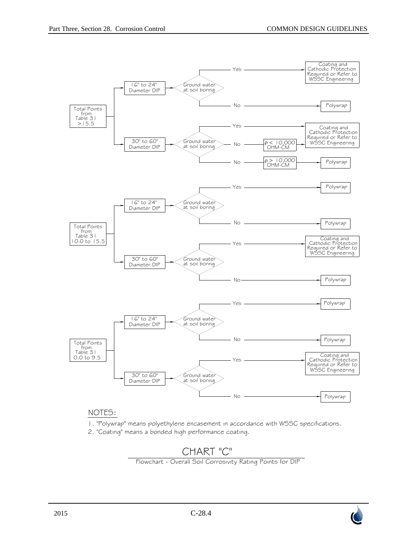

### NOTES:

- 1. "Polywrap" means polyethylene encasement in accordance with WSSC specifications.
- 2. "Coating" means a bonded high performance coating.

# CHART "C"

Flowchart - Overall Soil Corrosivity Rating Points for DIP

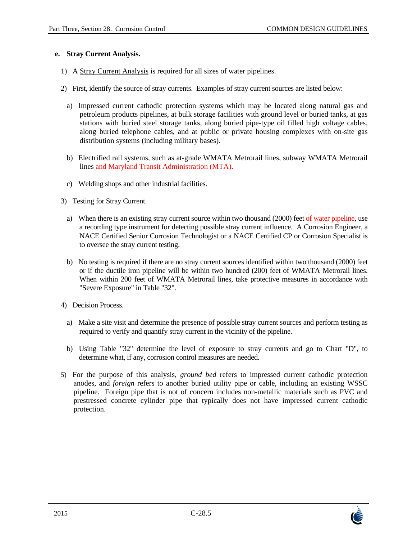#### **e. Stray Current Analysis.**

- 1) A Stray Current Analysis is required for all sizes of water pipelines.
- 2) First, identify the source of stray currents. Examples of stray current sources are listed below:
	- a) Impressed current cathodic protection systems which may be located along natural gas and petroleum products pipelines, at bulk storage facilities with ground level or buried tanks, at gas stations with buried steel storage tanks, along buried pipe-type oil filled high voltage cables, along buried telephone cables, and at public or private housing complexes with on-site gas distribution systems (including military bases).
	- b) Electrified rail systems, such as at-grade WMATA Metrorail lines, subway WMATA Metrorail lines and Maryland Transit Administration (MTA).
	- c) Welding shops and other industrial facilities.
- 3) Testing for Stray Current.
	- a) When there is an existing stray current source within two thousand (2000) feet of water pipeline, use a recording type instrument for detecting possible stray current influence. A Corrosion Engineer, a NACE Certified Senior Corrosion Technologist or a NACE Certified CP or Corrosion Specialist is to oversee the stray current testing.
	- b) No testing is required if there are no stray current sources identified within two thousand (2000) feet or if the ductile iron pipeline will be within two hundred (200) feet of WMATA Metrorail lines. When within 200 feet of WMATA Metrorail lines, take protective measures in accordance with "Severe Exposure" in Table "32".
- 4) Decision Process.
	- a) Make a site visit and determine the presence of possible stray current sources and perform testing as required to verify and quantify stray current in the vicinity of the pipeline.
	- b) Using Table "32" determine the level of exposure to stray currents and go to Chart "D", to determine what, if any, corrosion control measures are needed.
- 5) For the purpose of this analysis, *ground bed* refers to impressed current cathodic protection anodes, and *foreign* refers to another buried utility pipe or cable, including an existing WSSC pipeline. Foreign pipe that is not of concern includes non-metallic materials such as PVC and prestressed concrete cylinder pipe that typically does not have impressed current cathodic protection.

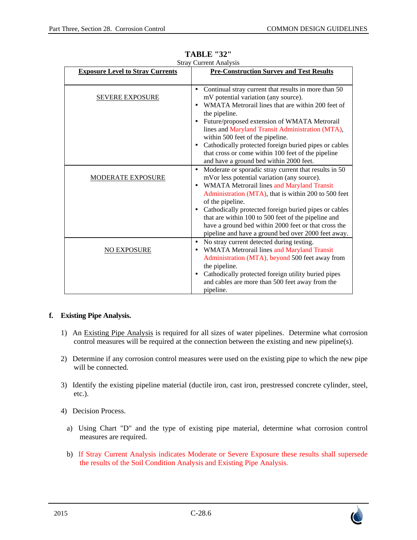| wuay<br><b>Exposure Level to Stray Currents</b> | Сипеш типагумэ<br><b>Pre-Construction Survey and Test Results</b>                                                                                                                                                                                                                                                                                                                                                                                                                                                |
|-------------------------------------------------|------------------------------------------------------------------------------------------------------------------------------------------------------------------------------------------------------------------------------------------------------------------------------------------------------------------------------------------------------------------------------------------------------------------------------------------------------------------------------------------------------------------|
|                                                 |                                                                                                                                                                                                                                                                                                                                                                                                                                                                                                                  |
| <b>SEVERE EXPOSURE</b>                          | Continual stray current that results in more than 50<br>٠<br>mV potential variation (any source).<br>WMATA Metrorail lines that are within 200 feet of<br>$\bullet$<br>the pipeline.<br>Future/proposed extension of WMATA Metrorail<br>$\bullet$<br>lines and Maryland Transit Administration (MTA),<br>within 500 feet of the pipeline.<br>Cathodically protected foreign buried pipes or cables<br>$\bullet$<br>that cross or come within 100 feet of the pipeline<br>and have a ground bed within 2000 feet. |
| <b>MODERATE EXPOSURE</b>                        | Moderate or sporadic stray current that results in 50<br>$\bullet$<br>mVor less potential variation (any source).<br><b>WMATA Metrorail lines and Maryland Transit</b><br>$\bullet$<br>Administration (MTA), that is within 200 to 500 feet<br>of the pipeline.<br>Cathodically protected foreign buried pipes or cables<br>$\bullet$<br>that are within 100 to 500 feet of the pipeline and<br>have a ground bed within 2000 feet or that cross the<br>pipeline and have a ground bed over 2000 feet away.      |
| <b>NO EXPOSURE</b>                              | No stray current detected during testing.<br>$\bullet$<br>WMATA Metrorail lines and Maryland Transit<br>٠<br>Administration (MTA), beyond 500 feet away from<br>the pipeline.<br>Cathodically protected foreign utility buried pipes<br>٠<br>and cables are more than 500 feet away from the<br>pipeline.                                                                                                                                                                                                        |

**TABLE "32"**  Stray Current Analysis

### **f. Existing Pipe Analysis.**

- 1) An Existing Pipe Analysis is required for all sizes of water pipelines. Determine what corrosion control measures will be required at the connection between the existing and new pipeline(s).
- 2) Determine if any corrosion control measures were used on the existing pipe to which the new pipe will be connected.
- 3) Identify the existing pipeline material (ductile iron, cast iron, prestressed concrete cylinder, steel, etc.).
- 4) Decision Process.
	- a) Using Chart "D" and the type of existing pipe material, determine what corrosion control measures are required.
	- b) If Stray Current Analysis indicates Moderate or Severe Exposure these results shall supersede the results of the Soil Condition Analysis and Existing Pipe Analysis.

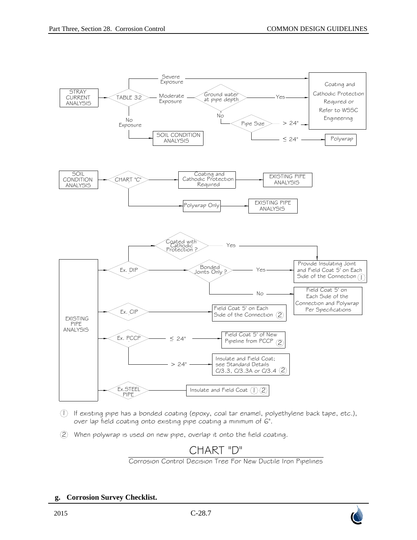

- If existing pipe has a bonded coating (epoxy, coal tar enamel, polyethylene back tape, etc.), 1 over lap field coating onto existing pipe coating a minimum of 6".
- When polywrap is used on new pipe, overlap it onto the field coating.  $(2)$

# CHART "D"

Corrosion Control Decision Tree For New Ductile Iron Pipelines

#### **g. Corrosion Survey Checklist.**

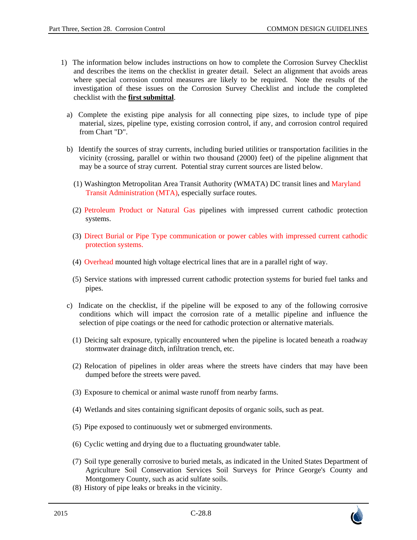- 1) The information below includes instructions on how to complete the Corrosion Survey Checklist and describes the items on the checklist in greater detail. Select an alignment that avoids areas where special corrosion control measures are likely to be required. Note the results of the investigation of these issues on the Corrosion Survey Checklist and include the completed checklist with the **first submittal**.
	- a) Complete the existing pipe analysis for all connecting pipe sizes, to include type of pipe material, sizes, pipeline type, existing corrosion control, if any, and corrosion control required from Chart "D".
	- b) Identify the sources of stray currents, including buried utilities or transportation facilities in the vicinity (crossing, parallel or within two thousand (2000) feet) of the pipeline alignment that may be a source of stray current. Potential stray current sources are listed below.
		- (1) Washington Metropolitan Area Transit Authority (WMATA) DC transit lines and Maryland Transit Administration (MTA), especially surface routes.
		- (2) Petroleum Product or Natural Gas pipelines with impressed current cathodic protection systems.
		- (3) Direct Burial or Pipe Type communication or power cables with impressed current cathodic protection systems.
		- (4) Overhead mounted high voltage electrical lines that are in a parallel right of way.
		- (5) Service stations with impressed current cathodic protection systems for buried fuel tanks and pipes.
	- c) Indicate on the checklist, if the pipeline will be exposed to any of the following corrosive conditions which will impact the corrosion rate of a metallic pipeline and influence the selection of pipe coatings or the need for cathodic protection or alternative materials.
		- (1) Deicing salt exposure, typically encountered when the pipeline is located beneath a roadway stormwater drainage ditch, infiltration trench, etc.
		- (2) Relocation of pipelines in older areas where the streets have cinders that may have been dumped before the streets were paved.
		- (3) Exposure to chemical or animal waste runoff from nearby farms.
		- (4) Wetlands and sites containing significant deposits of organic soils, such as peat.
		- (5) Pipe exposed to continuously wet or submerged environments.
		- (6) Cyclic wetting and drying due to a fluctuating groundwater table.
		- (7) Soil type generally corrosive to buried metals, as indicated in the United States Department of Agriculture Soil Conservation Services Soil Surveys for Prince George's County and Montgomery County, such as acid sulfate soils.
		- (8) History of pipe leaks or breaks in the vicinity.

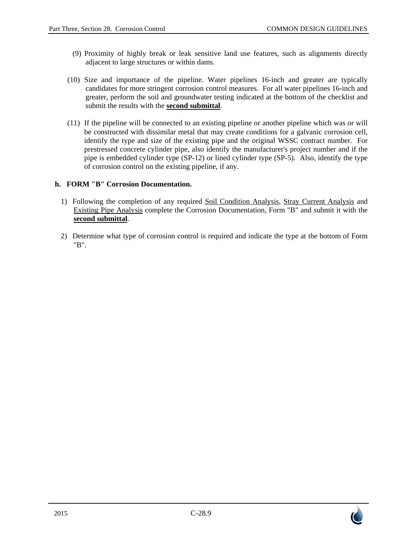- (9) Proximity of highly break or leak sensitive land use features, such as alignments directly adjacent to large structures or within dams.
- (10) Size and importance of the pipeline. Water pipelines 16-inch and greater are typically candidates for more stringent corrosion control measures. For all water pipelines 16-inch and greater, perform the soil and groundwater testing indicated at the bottom of the checklist and submit the results with the **second submittal**.
- (11) If the pipeline will be connected to an existing pipeline or another pipeline which was or will be constructed with dissimilar metal that may create conditions for a galvanic corrosion cell, identify the type and size of the existing pipe and the original WSSC contract number. For prestressed concrete cylinder pipe, also identify the manufacturer's project number and if the pipe is embedded cylinder type (SP-12) or lined cylinder type (SP-5). Also, identify the type of corrosion control on the existing pipeline, if any.

### **h. FORM "B" Corrosion Documentation.**

- 1) Following the completion of any required Soil Condition Analysis, Stray Current Analysis and Existing Pipe Analysis complete the Corrosion Documentation, Form "B" and submit it with the **second submittal**.
- 2) Determine what type of corrosion control is required and indicate the type at the bottom of Form "B".

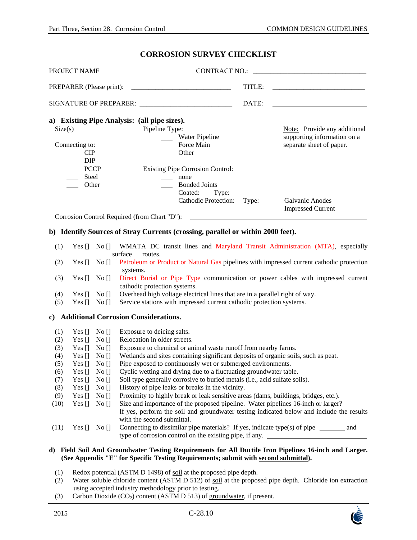#### **CORROSION SURVEY CHECKLIST**

|                                                         |                                                                                                                                                                                              |                                 | PROJECT NAME CONTRACT NO.: CONTRACT NO.: 2000                                                                                                                                                              |        |                                                    |  |
|---------------------------------------------------------|----------------------------------------------------------------------------------------------------------------------------------------------------------------------------------------------|---------------------------------|------------------------------------------------------------------------------------------------------------------------------------------------------------------------------------------------------------|--------|----------------------------------------------------|--|
|                                                         |                                                                                                                                                                                              |                                 |                                                                                                                                                                                                            | TITLE: |                                                    |  |
| SIGNATURE OF PREPARER: ________________________________ |                                                                                                                                                                                              |                                 |                                                                                                                                                                                                            | DATE:  |                                                    |  |
|                                                         |                                                                                                                                                                                              |                                 | a) Existing Pipe Analysis: (all pipe sizes).                                                                                                                                                               |        |                                                    |  |
| Size(s)                                                 |                                                                                                                                                                                              |                                 | Pipeline Type:                                                                                                                                                                                             |        | Note: Provide any additional                       |  |
|                                                         |                                                                                                                                                                                              |                                 | Water Pipeline                                                                                                                                                                                             |        | supporting information on a                        |  |
| Force Main<br>Connecting to:                            |                                                                                                                                                                                              |                                 | <u> 1990 - Johann Barbara, mart</u><br><b>Other</b>                                                                                                                                                        |        | separate sheet of paper.                           |  |
|                                                         | CIP<br><b>DIP</b>                                                                                                                                                                            |                                 |                                                                                                                                                                                                            |        |                                                    |  |
|                                                         | $\mathbb{R}$<br><b>PCCP</b>                                                                                                                                                                  |                                 | <b>Existing Pipe Corrosion Control:</b>                                                                                                                                                                    |        |                                                    |  |
|                                                         | Steel                                                                                                                                                                                        |                                 | none                                                                                                                                                                                                       |        |                                                    |  |
|                                                         | Other                                                                                                                                                                                        |                                 | <b>Bonded Joints</b>                                                                                                                                                                                       |        |                                                    |  |
|                                                         |                                                                                                                                                                                              |                                 | Coated:<br>Type:                                                                                                                                                                                           |        |                                                    |  |
|                                                         |                                                                                                                                                                                              |                                 | Cathodic Protection: Type: Calvanic Anodes                                                                                                                                                                 |        |                                                    |  |
|                                                         |                                                                                                                                                                                              |                                 |                                                                                                                                                                                                            |        | <b>Impressed Current</b><br>$\frac{1}{2}$ .        |  |
|                                                         |                                                                                                                                                                                              |                                 | Corrosion Control Required (from Chart "D"):                                                                                                                                                               |        | <u> 1989 - John Stein, Amerikaansk politiker (</u> |  |
| (1)                                                     | Yes $\begin{bmatrix} \end{bmatrix}$ No $\begin{bmatrix} \end{bmatrix}$                                                                                                                       |                                 | b) Identify Sources of Stray Currents (crossing, parallel or within 2000 feet).<br>WMATA DC transit lines and Maryland Transit Administration (MTA), especially                                            |        |                                                    |  |
|                                                         |                                                                                                                                                                                              |                                 | surface<br>routes.                                                                                                                                                                                         |        |                                                    |  |
| (2)                                                     | Petroleum or Product or Natural Gas pipelines with impressed current cathodic protection<br>Yes $\begin{bmatrix} 1 \\ 1 \end{bmatrix}$ No $\begin{bmatrix} 1 \\ 1 \end{bmatrix}$<br>systems. |                                 |                                                                                                                                                                                                            |        |                                                    |  |
| (3)                                                     | Yes []                                                                                                                                                                                       | $\overline{N}$ o $\overline{1}$ | Direct Burial or Pipe Type communication or power cables with impressed current<br>cathodic protection systems.                                                                                            |        |                                                    |  |
| (4)                                                     | Yes $\prod$                                                                                                                                                                                  | $\rm No$ []                     | Overhead high voltage electrical lines that are in a parallel right of way.                                                                                                                                |        |                                                    |  |
| (5)                                                     | Yes $\prod$                                                                                                                                                                                  | No []                           | Service stations with impressed current cathodic protection systems.                                                                                                                                       |        |                                                    |  |
|                                                         |                                                                                                                                                                                              |                                 | c) Additional Corrosion Considerations.                                                                                                                                                                    |        |                                                    |  |
| (1)                                                     | Yes []                                                                                                                                                                                       | No []                           | Exposure to deicing salts.                                                                                                                                                                                 |        |                                                    |  |
| (2)                                                     | Yes []                                                                                                                                                                                       | No []                           | Relocation in older streets.                                                                                                                                                                               |        |                                                    |  |
| (3)                                                     | Yes []                                                                                                                                                                                       | No []                           | Exposure to chemical or animal waste runoff from nearby farms.                                                                                                                                             |        |                                                    |  |
| (4)                                                     | Yes []                                                                                                                                                                                       | No []                           | Wetlands and sites containing significant deposits of organic soils, such as peat.                                                                                                                         |        |                                                    |  |
| (5)                                                     | Yes $\prod$                                                                                                                                                                                  | No []                           | Pipe exposed to continuously wet or submerged environments.                                                                                                                                                |        |                                                    |  |
| (6)                                                     | Yes []                                                                                                                                                                                       | No []                           | Cyclic wetting and drying due to a fluctuating groundwater table.                                                                                                                                          |        |                                                    |  |
| (7)                                                     | Yes $[]$                                                                                                                                                                                     | No []                           | Soil type generally corrosive to buried metals (i.e., acid sulfate soils).                                                                                                                                 |        |                                                    |  |
| (8)                                                     | Yes $[]$                                                                                                                                                                                     | No []                           | History of pipe leaks or breaks in the vicinity.                                                                                                                                                           |        |                                                    |  |
| (9)                                                     | Yes []                                                                                                                                                                                       | No []                           | Proximity to highly break or leak sensitive areas (dams, buildings, bridges, etc.).                                                                                                                        |        |                                                    |  |
| (10)                                                    | Yes $\lceil$                                                                                                                                                                                 | No []                           | Size and importance of the proposed pipeline. Water pipelines 16-inch or larger?<br>If yes, perform the soil and groundwater testing indicated below and include the results<br>with the second submittal. |        |                                                    |  |
| (11)                                                    | Yes []                                                                                                                                                                                       | No []                           | Connecting to dissimilar pipe materials? If yes, indicate type(s) of pipe ________ and<br>type of corrosion control on the existing pipe, if any.                                                          |        |                                                    |  |

#### **d) Field Soil And Groundwater Testing Requirements for All Ductile Iron Pipelines 16-inch and Larger. (See Appendix "E" for Specific Testing Requirements; submit with second submittal).**

- (1) Redox potential (ASTM D 1498) of soil at the proposed pipe depth.
- (2) Water soluble chloride content (ASTM D 512) of soil at the proposed pipe depth. Chloride ion extraction using accepted industry methodology prior to testing.
- (3) Carbon Dioxide  $(CO_2)$  content (ASTM D 513) of groundwater, if present.